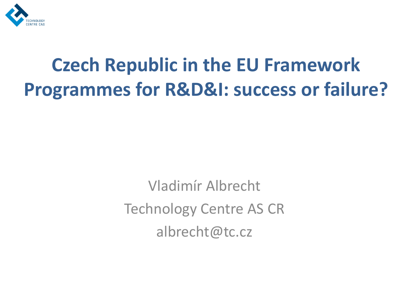

# **Czech Republic in the EU Framework Programmes for R&D&I: success or failure?**

Vladimír Albrecht Technology Centre AS CR albrecht@tc.cz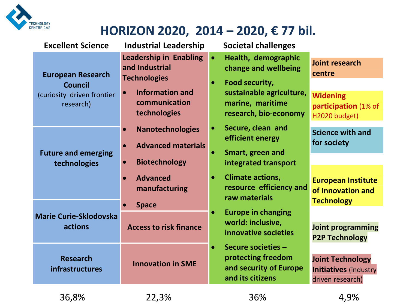

#### **HORIZON 2020, 2014 – 2020, € 77 bil.**

| <b>Excellent Science</b>                                                              | <b>Industrial Leadership</b>                                                                                                                                         | <b>Societal challenges</b>                                                                                                                                       |                                                                                             |
|---------------------------------------------------------------------------------------|----------------------------------------------------------------------------------------------------------------------------------------------------------------------|------------------------------------------------------------------------------------------------------------------------------------------------------------------|---------------------------------------------------------------------------------------------|
| <b>European Research</b><br><b>Council</b><br>(curiosity driven frontier<br>research) | <b>Leadership in Enabling</b><br>and Industrial<br><b>Technologies</b><br><b>Information and</b><br>$\bullet$<br>communication<br>technologies                       | Health, demographic<br>$\bullet$<br>change and wellbeing<br>Food security,<br>$\bullet$<br>sustainable agriculture,<br>marine, maritime<br>research, bio-economy | <b>Joint research</b><br>centre<br><b>Widening</b><br>participation (1% of<br>H2020 budget) |
| <b>Future and emerging</b><br>technologies                                            | <b>Nanotechnologies</b><br>$\bullet$<br><b>Advanced materials</b><br>$\bullet$<br><b>Biotechnology</b><br>$\bullet$<br><b>Advanced</b><br>$\bullet$<br>manufacturing | Secure, clean and<br>efficient energy<br>Smart, green and<br>integrated transport<br><b>Climate actions,</b><br>resource efficiency and                          | <b>Science with and</b><br>for society<br><b>European Institute</b>                         |
|                                                                                       | <b>Space</b>                                                                                                                                                         | raw materials                                                                                                                                                    | of Innovation and<br><b>Technology</b>                                                      |
| <b>Marie Curie-Sklodovska</b><br>actions                                              | <b>Access to risk finance</b>                                                                                                                                        | <b>Europe in changing</b><br>$\bullet$<br>world: inclusive,<br>innovative societies                                                                              | <b>Joint programming</b><br><b>P2P Technology</b>                                           |
| <b>Research</b><br>infrastructures                                                    | <b>Innovation in SME</b>                                                                                                                                             | Secure societies -<br>$\bullet$<br>protecting freedom<br>and security of Europe<br>and its citizens                                                              | <b>Joint Technology</b><br><b>Initiatives (industry</b><br>driven research)                 |
| 36,8%                                                                                 | 22,3%                                                                                                                                                                | 36%                                                                                                                                                              | 4,9%                                                                                        |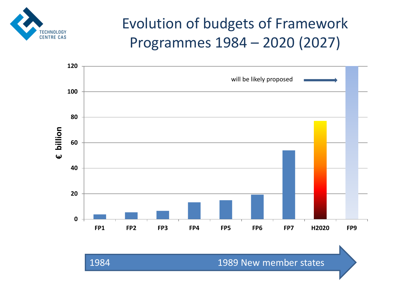

## Evolution of budgets of Framework Programmes 1984 – 2020 (2027)

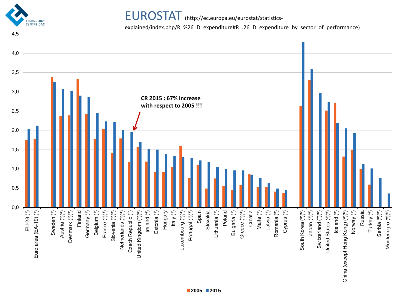

EUROSTAT (http://ec.europa.eu/eurostat/statistics-

explained/index.php/R\_%26\_D\_expenditure#R\_.26\_D\_expenditure\_by\_sector\_of\_performance)

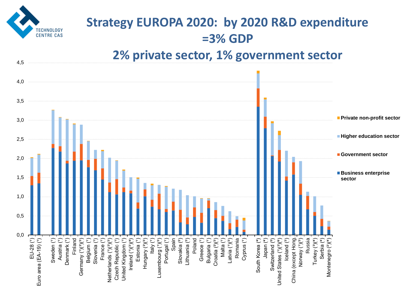

## **Strategy EUROPA 2020: by 2020 R&D expenditure =3% GDP**

#### **2% private sector, 1% government sector**

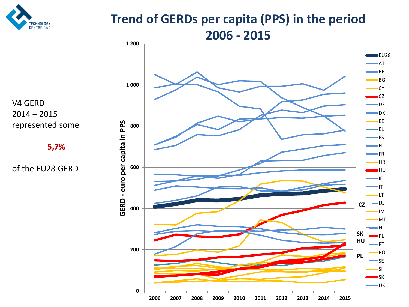

#### **Trend of GERDs per capita (PPS) in the period 2006 - 2015**



V4 GERD 2014 – 2015 represented some

**5,7%**

of the EU28 GERD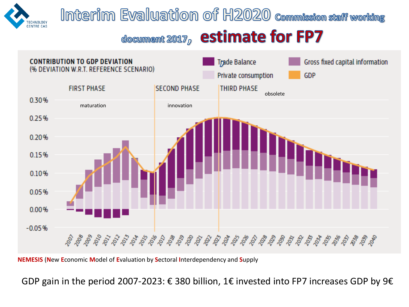

## Interim Evaluation of H2020 commission staff working

## document 2017, estimate for FP7



**NEMESIS** (**N**ew **E**conomic **M**odel of **E**valuation by **S**ectoral **I**nterdependency and **S**upply

GDP gain in the period 2007-2023:  $\epsilon$  380 billion, 1 $\epsilon$  invested into FP7 increases GDP by 9 $\epsilon$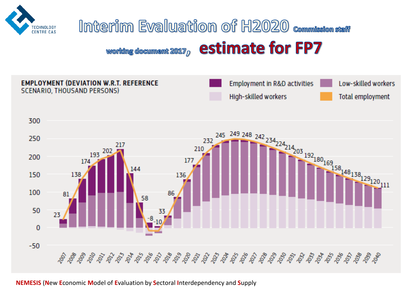

#### Interim Evaluation of H2020 Commission staff estimate for FP7 working document  $2017<sub>D</sub>$



**NEMESIS** (**N**ew **E**conomic **M**odel of **E**valuation by **S**ectoral **I**nterdependency and **S**upply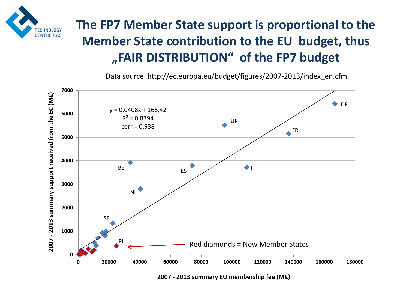

## **The FP7 Member State support is proportional to the Member State contribution to the EU budget, thus "FAIR DISTRIBUTION" of the FP7 budget**

Data source http://ec.europa.eu/budget/figures/2007-2013/index\_en.cfm



**2007 - 2013 summary EU membership fee (M€)**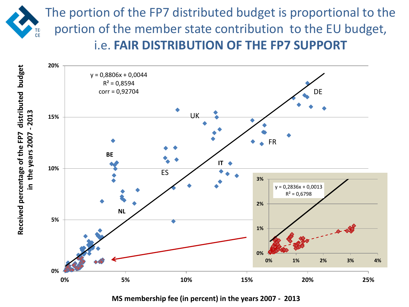



**MS membership fee (in percent) in the years 2007 - 2013**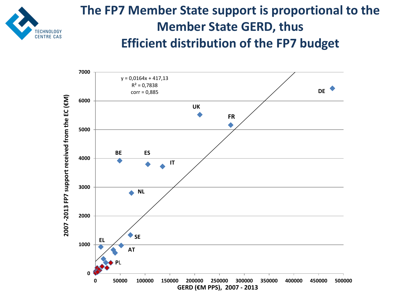

#### **The FP7 Member State support is proportional to the Member State GERD, thus Efficient distribution of the FP7 budget**

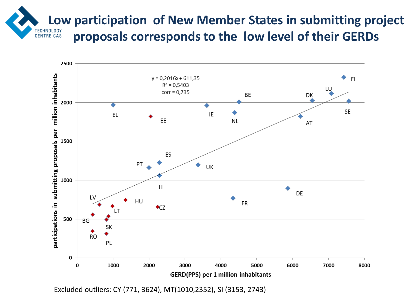**Low participation of New Member States in submitting project <br>TECHNOLOGY proposals corresponds to the low level of their GERDs CENTRE CAS** 



Excluded outliers: CY (771, 3624), MT(1010,2352), SI (3153, 2743)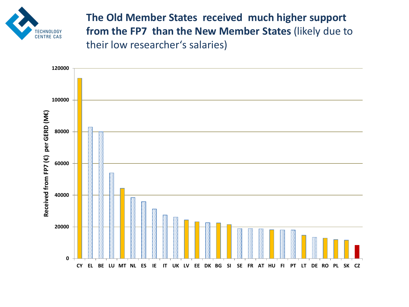

**The Old Member States received much higher support from the FP7 than the New Member States** (likely due to their low researcher's salaries)

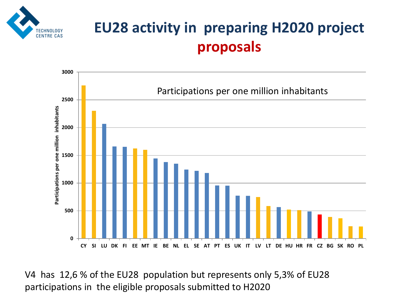

## **EU28 activity in preparing H2020 project proposals**



V4 has 12,6 % of the EU28 population but represents only 5,3% of EU28 participations in the eligible proposals submitted to H2020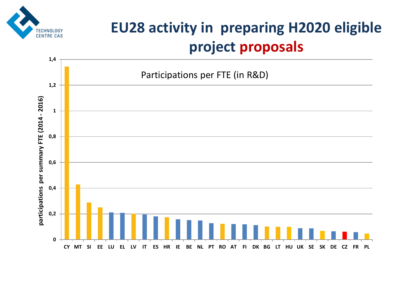

## **EU28 activity in preparing H2020 eligible project proposals**

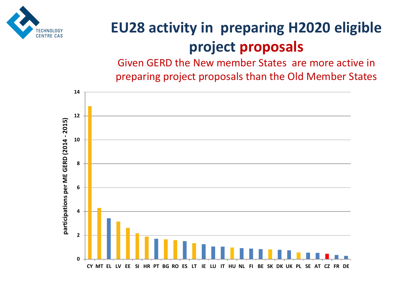

## **EU28 activity in preparing H2020 eligible project proposals**

Given GERD the New member States are more active in preparing project proposals than the Old Member States

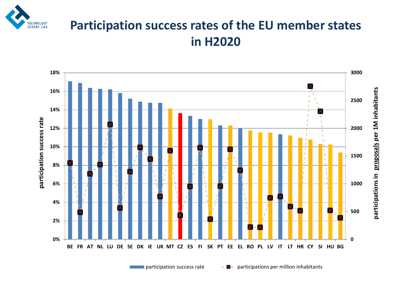

#### **Participation success rates of the EU member states in H2020**



participation success rate  $\overline{P}$  - participations per million inhabitants

**participations in proposals per 1M inhabitants**

participations in proposals per 1M inhabitants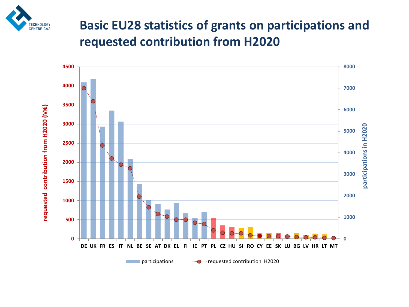

#### **Basic EU28 statistics of grants on participations and requested contribution from H2020**

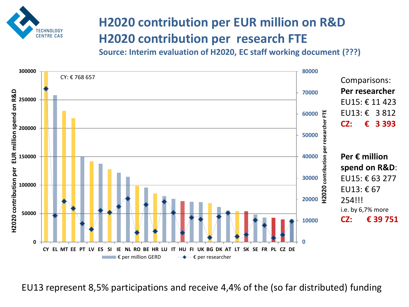

## **H2020 contribution per EUR million on R&D H2020 contribution per research FTE**

**Source: Interim evaluation of H2020, EC staff working document (???)**



EU13 represent 8,5% participations and receive 4,4% of the (so far distributed) funding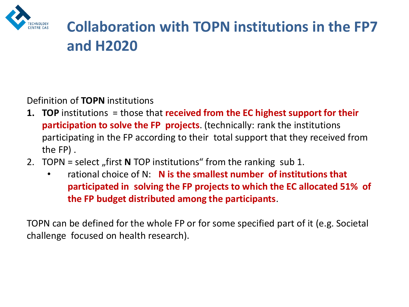

## **Collaboration with TOPN institutions in the FP7 and H2020**

Definition of **TOPN** institutions

- **1. TOP** institutions = those that **received from the EC highest support for their participation to solve the FP projects**. (technically: rank the institutions participating in the FP according to their total support that they received from the FP) .
- 2. TOPN = select "first **N** TOP institutions" from the ranking sub 1.
	- rational choice of N: **N is the smallest number of institutions that participated in solving the FP projects to which the EC allocated 51% of the FP budget distributed among the participants**.

TOPN can be defined for the whole FP or for some specified part of it (e.g. Societal challenge focused on health research).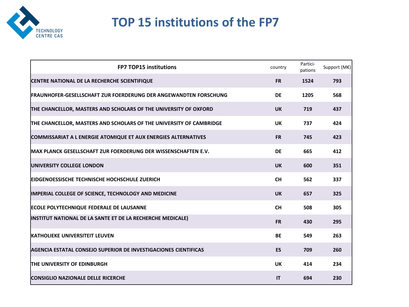

#### **TOP 15 institutions of the FP7**

| <b>FP7 TOP15 institutions</b>                                           | country   | Partici-<br>pations | Support (M€) |
|-------------------------------------------------------------------------|-----------|---------------------|--------------|
| CENTRE NATIONAL DE LA RECHERCHE SCIENTIFIQUE                            | <b>FR</b> | 1524                | 793          |
| <b>FRAUNHOFER-GESELLSCHAFT ZUR FOERDERUNG DER ANGEWANDTEN FORSCHUNG</b> | <b>DE</b> | 1205                | 568          |
| THE CHANCELLOR, MASTERS AND SCHOLARS OF THE UNIVERSITY OF OXFORD        | <b>UK</b> | 719                 | 437          |
| THE CHANCELLOR, MASTERS AND SCHOLARS OF THE UNIVERSITY OF CAMBRIDGE     | <b>UK</b> | 737                 | 424          |
| <b>COMMISSARIAT A L ENERGIE ATOMIQUE ET AUX ENERGIES ALTERNATIVES</b>   | <b>FR</b> | 745                 | 423          |
| <b>MAX PLANCK GESELLSCHAFT ZUR FOERDERUNG DER WISSENSCHAFTEN E.V.</b>   | <b>DE</b> | 665                 | 412          |
| <b>UNIVERSITY COLLEGE LONDON</b>                                        | <b>UK</b> | 600                 | 351          |
| <b>EIDGENOESSISCHE TECHNISCHE HOCHSCHULE ZUERICH</b>                    | <b>CH</b> | 562                 | 337          |
| <b>IMPERIAL COLLEGE OF SCIENCE, TECHNOLOGY AND MEDICINE</b>             | <b>UK</b> | 657                 | 325          |
| <b>ECOLE POLYTECHNIQUE FEDERALE DE LAUSANNE</b>                         | <b>CH</b> | 508                 | 305          |
| INSTITUT NATIONAL DE LA SANTE ET DE LA RECHERCHE MEDICALE)              | <b>FR</b> | 430                 | 295          |
| <b>IKATHOLIEKE UNIVERSITEIT LEUVEN</b>                                  | <b>BE</b> | 549                 | 263          |
| AGENCIA ESTATAL CONSEJO SUPERIOR DE INVESTIGACIONES CIENTIFICAS         | <b>ES</b> | 709                 | 260          |
| <b>THE UNIVERSITY OF EDINBURGH</b>                                      | <b>UK</b> | 414                 | 234          |
| <b>CONSIGLIO NAZIONALE DELLE RICERCHE</b>                               | IT        | 694                 | 230          |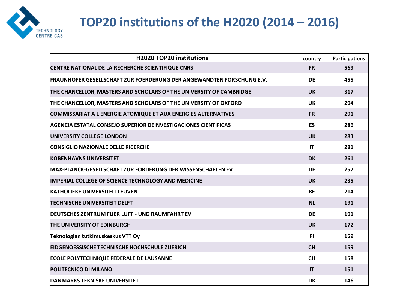

## **TOP20 institutions of the H2020 (2014 – 2016)**

| <b>H2020 TOP20 institutions</b>                                       | country   | <b>Participations</b> |
|-----------------------------------------------------------------------|-----------|-----------------------|
| CENTRE NATIONAL DE LA RECHERCHE SCIENTIFIQUE CNRS                     | <b>FR</b> | 569                   |
| FRAUNHOFER GESELLSCHAFT ZUR FOERDERUNG DER ANGEWANDTEN FORSCHUNG E.V. | <b>DE</b> | 455                   |
| THE CHANCELLOR, MASTERS AND SCHOLARS OF THE UNIVERSITY OF CAMBRIDGE   | <b>UK</b> | 317                   |
| THE CHANCELLOR, MASTERS AND SCHOLARS OF THE UNIVERSITY OF OXFORD      | <b>UK</b> | 294                   |
| <b>COMMISSARIAT A L ENERGIE ATOMIQUE ET AUX ENERGIES ALTERNATIVES</b> | <b>FR</b> | 291                   |
| <b>AGENCIA ESTATAL CONSEJO SUPERIOR DEINVESTIGACIONES CIENTIFICAS</b> | <b>ES</b> | 286                   |
| <b>UNIVERSITY COLLEGE LONDON</b>                                      | <b>UK</b> | 283                   |
| <b>CONSIGLIO NAZIONALE DELLE RICERCHE</b>                             | IT        | 281                   |
| <b>KOBENHAVNS UNIVERSITET</b>                                         | <b>DK</b> | 261                   |
| <b>MAX-PLANCK-GESELLSCHAFT ZUR FORDERUNG DER WISSENSCHAFTEN EV</b>    | DE        | 257                   |
| <b>IMPERIAL COLLEGE OF SCIENCE TECHNOLOGY AND MEDICINE</b>            | <b>UK</b> | 235                   |
| <b>KATHOLIEKE UNIVERSITEIT LEUVEN</b>                                 | <b>BE</b> | 214                   |
| <b>TECHNISCHE UNIVERSITEIT DELFT</b>                                  | <b>NL</b> | 191                   |
| <b>DEUTSCHES ZENTRUM FUER LUFT - UND RAUMFAHRT EV</b>                 | <b>DE</b> | 191                   |
| <b>THE UNIVERSITY OF EDINBURGH</b>                                    | <b>UK</b> | 172                   |
| Teknologian tutkimuskeskus VTT Oy                                     | FI.       | 159                   |
| <b>EIDGENOESSISCHE TECHNISCHE HOCHSCHULE ZUERICH</b>                  | <b>CH</b> | 159                   |
| <b>ECOLE POLYTECHNIQUE FEDERALE DE LAUSANNE</b>                       | <b>CH</b> | 158                   |
| <b>POLITECNICO DI MILANO</b>                                          | IT        | 151                   |
| DANMARKS TEKNISKE UNIVERSITET                                         | <b>DK</b> | 146                   |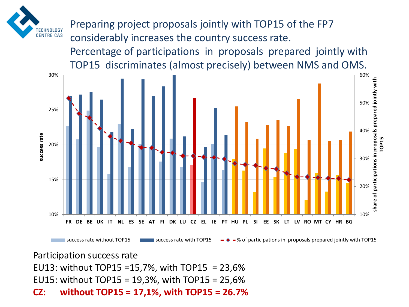

Preparing project proposals jointly with TOP15 of the FP7 considerably increases the country success rate. Percentage of participations in proposals prepared jointly with TOP15 discriminates (almost precisely) between NMS and OMS.



Participation success rate EU13: without TOP15 =15,7%, with TOP15 = 23,6% EU15: without TOP15 = 19,3%, with TOP15 = 25,6% **CZ: without TOP15 = 17,1%, with TOP15 = 26.7%**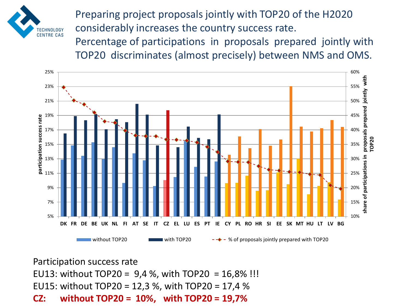

Preparing project proposals jointly with TOP20 of the H2020 considerably increases the country success rate.

Percentage of participations in proposals prepared jointly with TOP20 discriminates (almost precisely) between NMS and OMS.



Participation success rate EU13: without TOP20 = 9,4 %, with TOP20 = 16,8% !!! EU15: without TOP20 = 12,3 %, with TOP20 = 17,4 % **CZ: without TOP20 = 10%, with TOP20 = 19,7%**